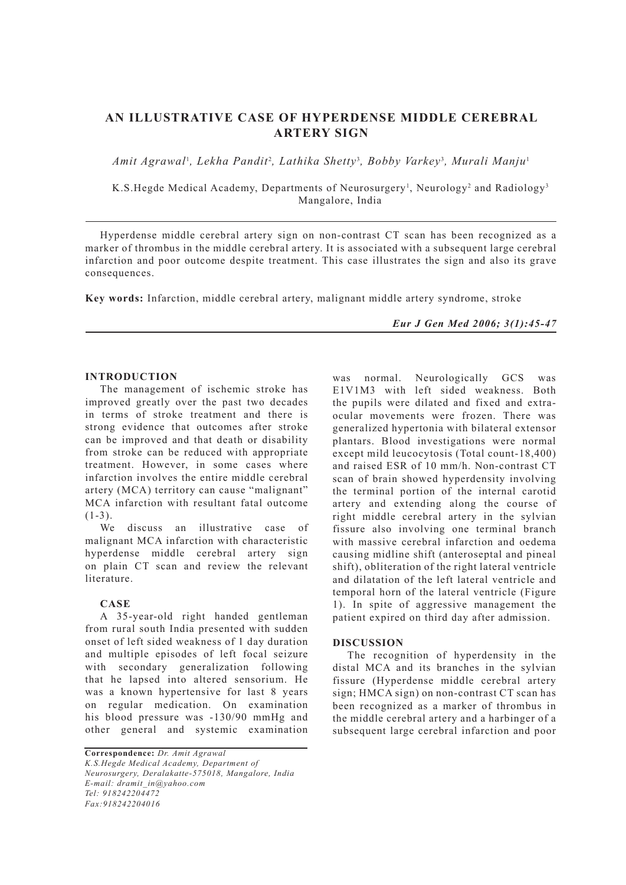# **AN ILLUSTRATIVE CASE OF HYPERDENSE MIDDLE CEREBRAL ARTERY SIGN**

Amit Agrawal<sup>ı</sup>, Lekha Pandit<sup>2</sup>, Lathika Shetty<sup>3</sup>, Bobby Varkey<sup>3</sup>, Murali Manju<sup>ı</sup>

K.S.Hegde Medical Academy, Departments of Neurosurgery<sup>1</sup>, Neurology<sup>2</sup> and Radiology<sup>3</sup> Mangalore, India

Hyperdense middle cerebral artery sign on non-contrast CT scan has been recognized as a marker of thrombus in the middle cerebral artery. It is associated with a subsequent large cerebral infarction and poor outcome despite treatment. This case illustrates the sign and also its grave consequences.

**Key words:** Infarction, middle cerebral artery, malignant middle artery syndrome, stroke

*Eur J Gen Med 2006; 3(1):45-47*

## **INTRODUCTION**

The management of ischemic stroke has improved greatly over the past two decades in terms of stroke treatment and there is strong evidence that outcomes after stroke can be improved and that death or disability from stroke can be reduced with appropriate treatment. However, in some cases where infarction involves the entire middle cerebral artery (MCA) territory can cause "malignant" MCA infarction with resultant fatal outcome  $(1-3)$ .

We discuss an illustrative case of malignant MCA infarction with characteristic hyperdense middle cerebral artery sign on plain CT scan and review the relevant literature.

### **CASE**

A 35-year-old right handed gentleman from rural south India presented with sudden onset of left sided weakness of 1 day duration and multiple episodes of left focal seizure with secondary generalization following that he lapsed into altered sensorium. He was a known hypertensive for last 8 years on regular medication. On examination his blood pressure was -130/90 mmHg and other general and systemic examination

**Correspondence:** *Dr. Amit Agrawal K.S.Hegde Medical Academy, Department of Neurosurgery, Deralakatte-575018, Mangalore, India E-mail: dramit\_in@yahoo.com Tel: 918242204472 Fax:918242204016*

was normal. Neurologically GCS was E1V1M3 with left sided weakness. Both the pupils were dilated and fixed and extraocular movements were frozen. There was generalized hypertonia with bilateral extensor plantars. Blood investigations were normal except mild leucocytosis (Total count-18,400) and raised ESR of 10 mm/h. Non-contrast CT scan of brain showed hyperdensity involving the terminal portion of the internal carotid artery and extending along the course of right middle cerebral artery in the sylvian fissure also involving one terminal branch with massive cerebral infarction and oedema causing midline shift (anteroseptal and pineal shift), obliteration of the right lateral ventricle and dilatation of the left lateral ventricle and temporal horn of the lateral ventricle (Figure 1). In spite of aggressive management the patient expired on third day after admission.

### **DISCUSSION**

The recognition of hyperdensity in the distal MCA and its branches in the sylvian fissure (Hyperdense middle cerebral artery sign; HMCA sign) on non-contrast CT scan has been recognized as a marker of thrombus in the middle cerebral artery and a harbinger of a subsequent large cerebral infarction and poor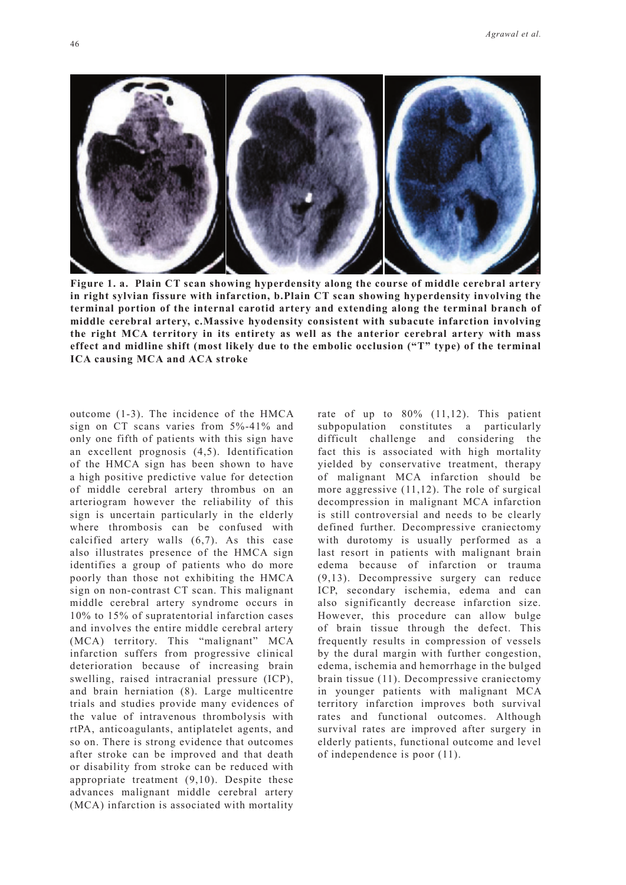

**Figure 1. a. Plain CT scan showing hyperdensity along the course of middle cerebral artery in right sylvian fissure with infarction, b.Plain CT scan showing hyperdensity involving the terminal portion of the internal carotid artery and extending along the terminal branch of middle cerebral artery, c.Massive hyodensity consistent with subacute infarction involving the right MCA territory in its entirety as well as the anterior cerebral artery with mass effect and midline shift (most likely due to the embolic occlusion ("T" type) of the terminal ICA causing MCA and ACA stroke**

outcome (1-3). The incidence of the HMCA sign on CT scans varies from 5%-41% and only one fifth of patients with this sign have an excellent prognosis (4,5). Identification of the HMCA sign has been shown to have a high positive predictive value for detection of middle cerebral artery thrombus on an arteriogram however the reliability of this sign is uncertain particularly in the elderly where thrombosis can be confused with calcified artery walls (6,7). As this case also illustrates presence of the HMCA sign identifies a group of patients who do more poorly than those not exhibiting the HMCA sign on non-contrast CT scan. This malignant middle cerebral artery syndrome occurs in 10% to 15% of supratentorial infarction cases and involves the entire middle cerebral artery (MCA) territory. This "malignant" MCA infarction suffers from progressive clinical deterioration because of increasing brain swelling, raised intracranial pressure (ICP), and brain herniation (8). Large multicentre trials and studies provide many evidences of the value of intravenous thrombolysis with rtPA, anticoagulants, antiplatelet agents, and so on. There is strong evidence that outcomes after stroke can be improved and that death or disability from stroke can be reduced with appropriate treatment (9,10). Despite these advances malignant middle cerebral artery (MCA) infarction is associated with mortality

rate of up to 80% (11,12). This patient subpopulation constitutes a particularly difficult challenge and considering the fact this is associated with high mortality yielded by conservative treatment, therapy of malignant MCA infarction should be more aggressive (11,12). The role of surgical decompression in malignant MCA infarction is still controversial and needs to be clearly defined further. Decompressive craniectomy with durotomy is usually performed as a last resort in patients with malignant brain edema because of infarction or trauma (9,13). Decompressive surgery can reduce ICP, secondary ischemia, edema and can also significantly decrease infarction size. However, this procedure can allow bulge of brain tissue through the defect. This frequently results in compression of vessels by the dural margin with further congestion, edema, ischemia and hemorrhage in the bulged brain tissue (11). Decompressive craniectomy in younger patients with malignant MCA territory infarction improves both survival rates and functional outcomes. Although survival rates are improved after surgery in elderly patients, functional outcome and level of independence is poor (11).